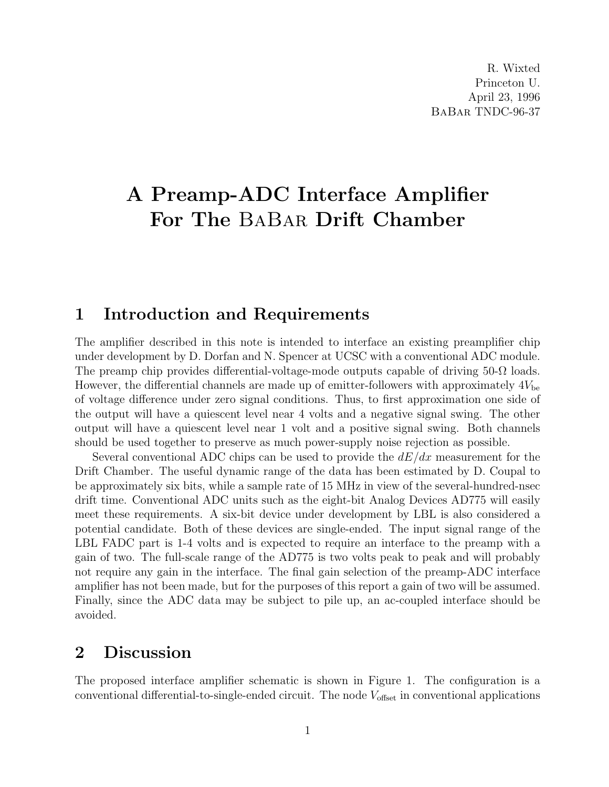# A Preamp-ADC Interface Amplifier For The BaBar Drift Chamber

#### 1 Introduction and Requirements

The amplifier described in this note is intended to interface an existing preamplifier chip under development by D. Dorfan and N. Spencer at UCSC with a conventional ADC module. The preamp chip provides differential-voltage-mode outputs capable of driving 50- $\Omega$  loads. However, the differential channels are made up of emitter-followers with approximately  $4V_{be}$ of voltage difference under zero signal conditions. Thus, to first approximation one side of the output will have a quiescent level near 4 volts and a negative signal swing. The other output will have a quiescent level near 1 volt and a positive signal swing. Both channels should be used together to preserve as much power-supply noise rejection as possible.

Several conventional ADC chips can be used to provide the  $dE/dx$  measurement for the Drift Chamber. The useful dynamic range of the data has been estimated by D. Coupal to be approximately six bits, while a sample rate of 15 MHz in view of the several-hundred-nsec drift time. Conventional ADC units such as the eight-bit Analog Devices AD775 will easily meet these requirements. A six-bit device under development by LBL is also considered a potential candidate. Both of these devices are single-ended. The input signal range of the LBL FADC part is 1-4 volts and is expected to require an interface to the preamp with a gain of two. The full-scale range of the AD775 is two volts peak to peak and will probably not require any gain in the interface. The final gain selection of the preamp-ADC interface amplifier has not been made, but for the purposes of this report a gain of two will be assumed. Finally, since the ADC data may be subject to pile up, an ac-coupled interface should be avoided.

### 2 Discussion

The proposed interface amplifier schematic is shown in Figure 1. The configuration is a conventional differential-to-single-ended circuit. The node  $V_{\text{offset}}$  in conventional applications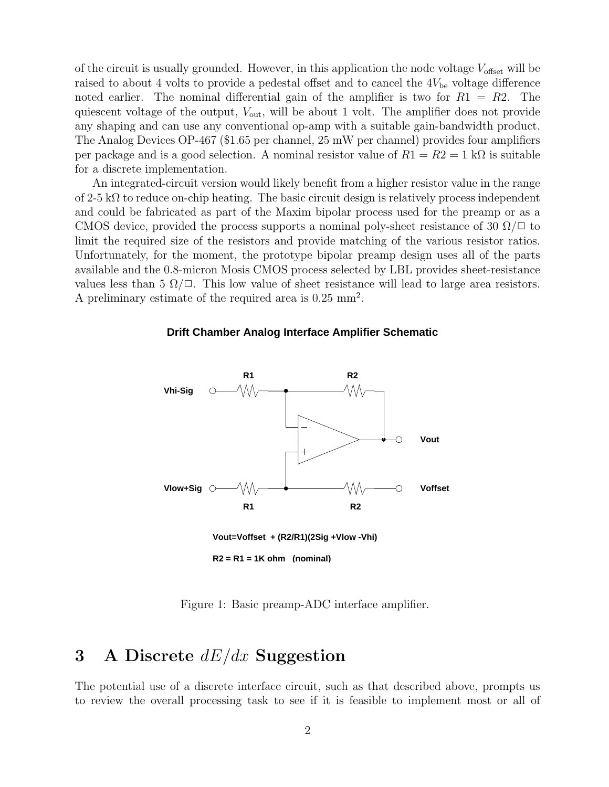of the circuit is usually grounded. However, in this application the node voltage  $V_{\text{offset}}$  will be raised to about 4 volts to provide a pedestal offset and to cancel the  $4V_{be}$  voltage difference noted earlier. The nominal differential gain of the amplifier is two for  $R1 = R2$ . The quiescent voltage of the output,  $V_{\text{out}}$ , will be about 1 volt. The amplifier does not provide any shaping and can use any conventional op-amp with a suitable gain-bandwidth product. The Analog Devices OP-467 (\$1.65 per channel, 25 mW per channel) provides four amplifiers per package and is a good selection. A nominal resistor value of  $R1 = R2 = 1$  k $\Omega$  is suitable for a discrete implementation.

An integrated-circuit version would likely benefit from a higher resistor value in the range of  $2-5$  k $\Omega$  to reduce on-chip heating. The basic circuit design is relatively process independent and could be fabricated as part of the Maxim bipolar process used for the preamp or as a CMOS device, provided the process supports a nominal poly-sheet resistance of 30  $\Omega/\square$  to limit the required size of the resistors and provide matching of the various resistor ratios. Unfortunately, for the moment, the prototype bipolar preamp design uses all of the parts available and the 0.8-micron Mosis CMOS process selected by LBL provides sheet-resistance values less than 5  $\Omega/\square$ . This low value of sheet resistance will lead to large area resistors. A preliminary estimate of the required area is 0.25 mm<sup>2</sup> .

#### **Drift Chamber Analog Interface Amplifier Schematic**



**R2 = R1 = 1K ohm (nominal)**

Figure 1: Basic preamp-ADC interface amplifier.

## 3 A Discrete  $dE/dx$  Suggestion

The potential use of a discrete interface circuit, such as that described above, prompts us to review the overall processing task to see if it is feasible to implement most or all of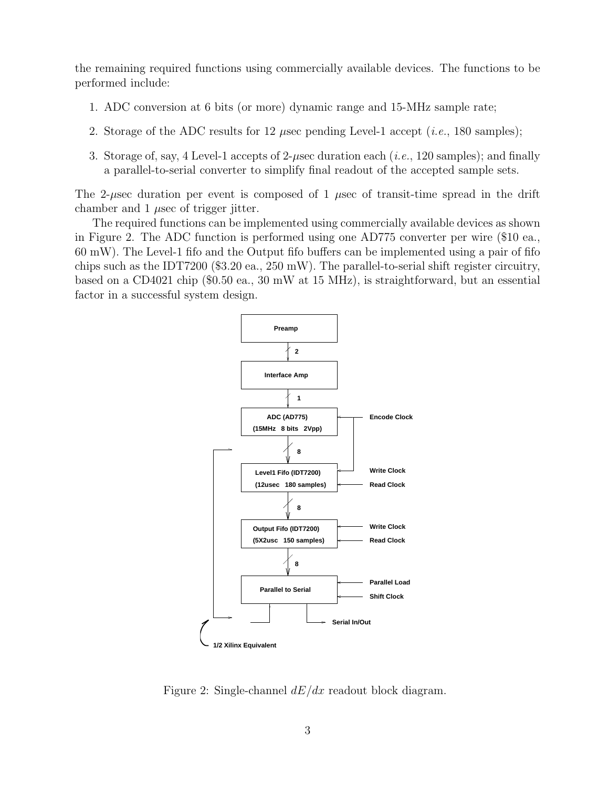the remaining required functions using commercially available devices. The functions to be performed include:

- 1. ADC conversion at 6 bits (or more) dynamic range and 15-MHz sample rate;
- 2. Storage of the ADC results for 12  $\mu$ sec pending Level-1 accept (*i.e.*, 180 samples);
- 3. Storage of, say, 4 Level-1 accepts of  $2$ - $\mu$ sec duration each (*i.e.*, 120 samples); and finally a parallel-to-serial converter to simplify final readout of the accepted sample sets.

The 2-µsec duration per event is composed of 1 µsec of transit-time spread in the drift chamber and  $1 \mu$ sec of trigger jitter.

The required functions can be implemented using commercially available devices as shown in Figure 2. The ADC function is performed using one AD775 converter per wire (\$10 ea., 60 mW). The Level-1 fifo and the Output fifo buffers can be implemented using a pair of fifo chips such as the IDT7200 (\$3.20 ea., 250 mW). The parallel-to-serial shift register circuitry, based on a CD4021 chip (\$0.50 ea., 30 mW at 15 MHz), is straightforward, but an essential factor in a successful system design.



Figure 2: Single-channel  $dE/dx$  readout block diagram.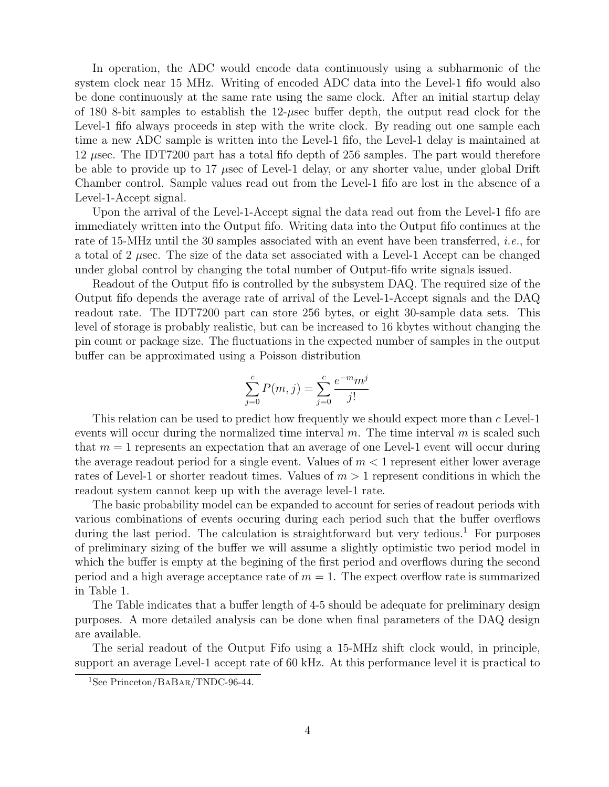In operation, the ADC would encode data continuously using a subharmonic of the system clock near 15 MHz. Writing of encoded ADC data into the Level-1 fifo would also be done continuously at the same rate using the same clock. After an initial startup delay of 180 8-bit samples to establish the 12-µsec buffer depth, the output read clock for the Level-1 fifo always proceeds in step with the write clock. By reading out one sample each time a new ADC sample is written into the Level-1 fifo, the Level-1 delay is maintained at 12 µsec. The IDT7200 part has a total fifo depth of 256 samples. The part would therefore be able to provide up to 17  $\mu$ sec of Level-1 delay, or any shorter value, under global Drift Chamber control. Sample values read out from the Level-1 fifo are lost in the absence of a Level-1-Accept signal.

Upon the arrival of the Level-1-Accept signal the data read out from the Level-1 fifo are immediately written into the Output fifo. Writing data into the Output fifo continues at the rate of 15-MHz until the 30 samples associated with an event have been transferred, i.e., for a total of 2  $\mu$ sec. The size of the data set associated with a Level-1 Accept can be changed under global control by changing the total number of Output-fifo write signals issued.

Readout of the Output fifo is controlled by the subsystem DAQ. The required size of the Output fifo depends the average rate of arrival of the Level-1-Accept signals and the DAQ readout rate. The IDT7200 part can store 256 bytes, or eight 30-sample data sets. This level of storage is probably realistic, but can be increased to 16 kbytes without changing the pin count or package size. The fluctuations in the expected number of samples in the output buffer can be approximated using a Poisson distribution

$$
\sum_{j=0}^{c} P(m, j) = \sum_{j=0}^{c} \frac{e^{-m} m^j}{j!}
$$

This relation can be used to predict how frequently we should expect more than c Level-1 events will occur during the normalized time interval  $m$ . The time interval  $m$  is scaled such that  $m = 1$  represents an expectation that an average of one Level-1 event will occur during the average readout period for a single event. Values of  $m < 1$  represent either lower average rates of Level-1 or shorter readout times. Values of  $m > 1$  represent conditions in which the readout system cannot keep up with the average level-1 rate.

The basic probability model can be expanded to account for series of readout periods with various combinations of events occuring during each period such that the buffer overflows during the last period. The calculation is straightforward but very tedious.<sup>1</sup> For purposes of preliminary sizing of the buffer we will assume a slightly optimistic two period model in which the buffer is empty at the begining of the first period and overflows during the second period and a high average acceptance rate of  $m = 1$ . The expect overflow rate is summarized in Table 1.

The Table indicates that a buffer length of 4-5 should be adequate for preliminary design purposes. A more detailed analysis can be done when final parameters of the DAQ design are available.

The serial readout of the Output Fifo using a 15-MHz shift clock would, in principle, support an average Level-1 accept rate of 60 kHz. At this performance level it is practical to

<sup>&</sup>lt;sup>1</sup>See Princeton/BABAR/TNDC-96-44.